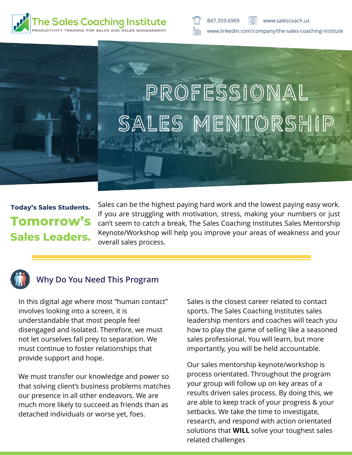

# PROFESSIONAL SALES MENTORSHIP

## **Today's Sales Students. Tomorrow's Sales Leaders.**

Sales can be the highest paying hard work and the lowest paying easy work. If you are struggling with motivation, stress, making your numbers or just can't seem to catch a break, The Sales Coaching Institutes Sales Mentorship Keynote/Workshop will help you improve your areas of weakness and your overall sales process.



#### **Why Do You Need This Program**

In this digital age where most "human contact" involves looking into a screen, it is understandable that most people feel disengaged and isolated. Therefore, we must not let ourselves fall prey to separation. We must continue to foster relationships that provide support and hope.

We must transfer our knowledge and power so that solving client's business problems matches our presence in all other endeavors. We are much more likely to succeed as friends than as detached individuals or worse yet, foes.

Sales is the closest career related to contact sports. The Sales Coaching Institutes sales leadership mentors and coaches will teach you how to play the game of selling like a seasoned sales professional. You will learn, but more importantly, you will be held accountable.

Our sales mentorship keynote/workshop is process orientated. Throughout the program your group will follow up on key areas of a results driven sales process. By doing this, we are able to keep track of your progress & your setbacks. We take the time to investigate, research, and respond with action orientated solutions that **WILL** solve your toughest sales related challenges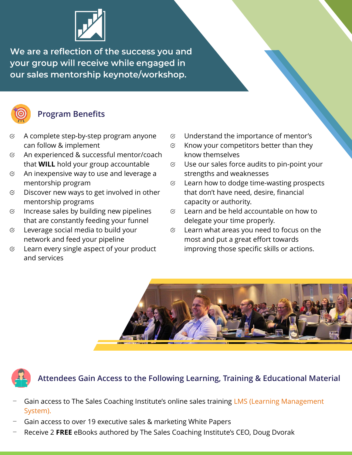

We are a reflection of the success you and your group will receive while engaged in our sales mentorship keynote/workshop.



#### **Program Benefits**

- A complete step-by-step program anyone  $\varnothing$ can follow & implement
- $\varnothing$ An experienced & successful mentor/coach that **WILL** hold your group accountable
- An inexpensive way to use and leverage a S mentorship program
- Discover new ways to get involved in other  $\varnothing$ mentorship programs
- Increase sales by building new pipelines  $\varnothing$ that are constantly feeding your funnel
- Leverage social media to build your  $\varnothing$ network and feed your pipeline
- Learn every single aspect of your product S and services
- Understand the importance of mentor's  $\otimes$
- $\varnothing$ Know your competitors better than they know themselves
- $\heartsuit$  Use our sales force audits to pin-point your strengths and weaknesses
- Learn how to dodge time-wasting prospects  $\otimes$ that don't have need, desire, financial capacity or authority.
- Learn and be held accountable on how to  $\otimes$ delegate your time properly.
- Learn what areas you need to focus on the  $\otimes$ most and put a great effort towards improving those specific skills or actions.





#### **Attendees Gain Access to the Following Learning, Training & Educational Material**

- Gain access to The Sales Coaching Institute's online sales training LMS (Learning Management [System\).](https://www.salescoach.us/online-sales-training-classes/)
- Gain access to over 19 executive sales & marketing White Papers
- Receive 2 **FREE** eBooks authored by The Sales Coaching Institute's CEO, Doug Dvorak